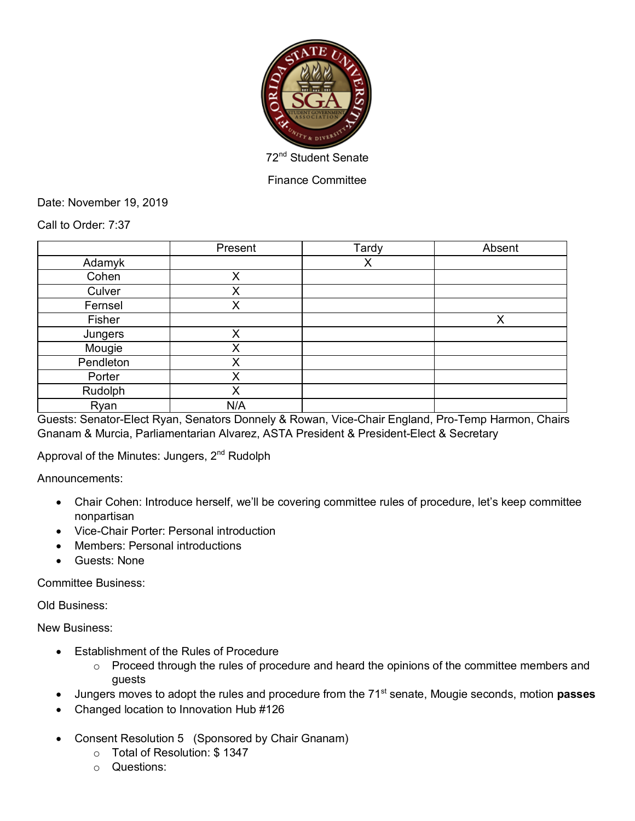

Finance Committee

Date: November 19, 2019

Call to Order: 7:37

|           | Present | Tardy | Absent |
|-----------|---------|-------|--------|
| Adamyk    |         | X     |        |
| Cohen     | Χ       |       |        |
| Culver    | Χ       |       |        |
| Fernsel   | Χ       |       |        |
| Fisher    |         |       | X      |
| Jungers   | X       |       |        |
| Mougie    | Χ       |       |        |
| Pendleton | Χ       |       |        |
| Porter    | X       |       |        |
| Rudolph   | Χ       |       |        |
| Ryan      | N/A     |       |        |

Guests: Senator-Elect Ryan, Senators Donnely & Rowan, Vice-Chair England, Pro-Temp Harmon, Chairs Gnanam & Murcia, Parliamentarian Alvarez, ASTA President & President-Elect & Secretary

Approval of the Minutes: Jungers, 2<sup>nd</sup> Rudolph

Announcements:

- Chair Cohen: Introduce herself, we'll be covering committee rules of procedure, let's keep committee nonpartisan
- Vice-Chair Porter: Personal introduction
- Members: Personal introductions
- Guests: None

Committee Business:

Old Business:

New Business:

- Establishment of the Rules of Procedure
	- o Proceed through the rules of procedure and heard the opinions of the committee members and guests
- Jungers moves to adopt the rules and procedure from the 71st senate, Mougie seconds, motion **passes**
- Changed location to Innovation Hub #126
- Consent Resolution 5 (Sponsored by Chair Gnanam)
	- o Total of Resolution: \$ 1347
	- o Questions: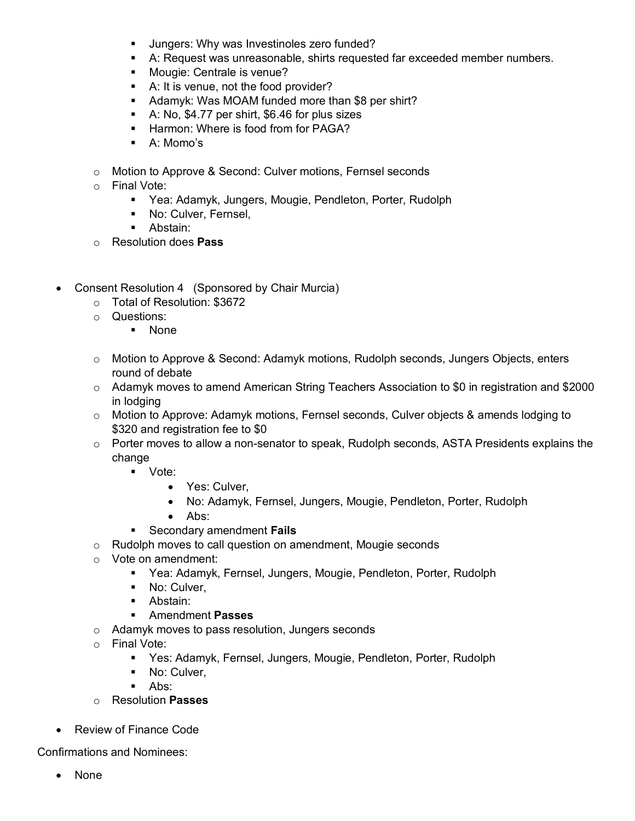- § Jungers: Why was Investinoles zero funded?
- § A: Request was unreasonable, shirts requested far exceeded member numbers.
- **•** Mougie: Centrale is venue?
- A: It is venue, not the food provider?
- Adamyk: Was MOAM funded more than \$8 per shirt?
- § A: No, \$4.77 per shirt, \$6.46 for plus sizes
- **EXTERGED:** Harmon: Where is food from for PAGA?
- A: Momo's
- o Motion to Approve & Second: Culver motions, Fernsel seconds
- o Final Vote:
	- Yea: Adamyk, Jungers, Mougie, Pendleton, Porter, Rudolph
	- **No: Culver, Fernsel,**
	- Abstain:
- o Resolution does **Pass**
- Consent Resolution 4 (Sponsored by Chair Murcia)
	- o Total of Resolution: \$3672
	- o Questions:
		- § None
	- $\circ$  Motion to Approve & Second: Adamyk motions, Rudolph seconds, Jungers Objects, enters round of debate
	- o Adamyk moves to amend American String Teachers Association to \$0 in registration and \$2000 in lodging
	- o Motion to Approve: Adamyk motions, Fernsel seconds, Culver objects & amends lodging to \$320 and registration fee to \$0
	- $\circ$  Porter moves to allow a non-senator to speak, Rudolph seconds, ASTA Presidents explains the change
		- Vote:
			- Yes: Culver,
			- No: Adamyk, Fernsel, Jungers, Mougie, Pendleton, Porter, Rudolph
			- Abs:
		- § Secondary amendment **Fails**
	- o Rudolph moves to call question on amendment, Mougie seconds
	- o Vote on amendment:
		- Yea: Adamyk, Fernsel, Jungers, Mougie, Pendleton, Porter, Rudolph
		- No: Culver,
		- Abstain:
		- § Amendment **Passes**
	- o Adamyk moves to pass resolution, Jungers seconds
	- o Final Vote:
		- Yes: Adamyk, Fernsel, Jungers, Mougie, Pendleton, Porter, Rudolph
		- No: Culver,
		- $\blacksquare$  Abs:
	- o Resolution **Passes**
- Review of Finance Code

Confirmations and Nominees:

• None